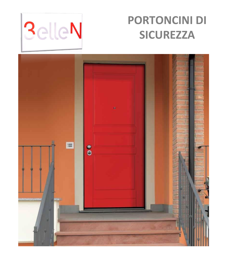

# **PORTONCINI DI SICUREZZA**

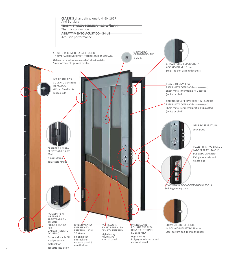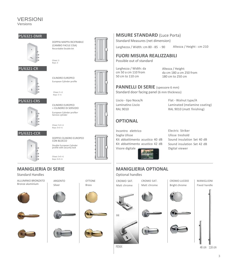#### VERSIONI Versions

#### PS/6321-DMR



(CAMBIO FACILE CISA) Recordable Double bit

DOPPIA MAPPA RICIFRABILE



#### PS/6321-CR



CILINDRO EUROPEO European Cylinder profile



Chiavi: 5 +1 Keys: 5 +1

#### PS/6321-CRS



CILINDRO EUROPEO + CILINDRO DI SERVIZIO European Cylinder profile+ Service cylinder



DOPPIO CILINDRO EUROPEO



**MANIGLIERIA DI SERIE**



Standard Handles

ALLUMINIO BRONZATO Bronze aluminium

CON BLOCCO Double European Cylinder profile with security lock

Chiavi: 5+5 +1 Keys: 5+5 +1



### **MISURE STANDARD** (Luce Porta)

Standard Measures (net dimension)

Larghezza / Width: cm 80 - 85 - 90 Altezza / Height : cm 210

### **FUORI MISURA REALIZZABILI**

Possible out of standard

Larghezza / Width: da cm 50 a cm 110 from 50 cm to 110 cm

Altezza / Height: da cm 180 a cm 250 from 180 cm to 250 cm

**PANNELLI DI SERIE** (spessore 6 mm) Standard door facing panel (6 mm thickness)

Liscio - tipo Noce/A Laminatino Liscio RAL 9010

Flat - Walnut type/A Laminated (melamine coating) RAL 9010 (matt finishing)

### **OPTIONAL**

Incontro elettrico Soglia Ulisse Kit abbattimento acustico 40 dB Kit abbattimento acustico 42 dB Visore digitale

Electric Striker Ulisse treshold Sound insulation Set 40 dB Sound insulation Set 42 dB Digital viewer



## **MANIGLIERIA OPTIONAL**

#### Optional handles



CROMO LUCIDO Bright chrome MANIGLIONI Fixed handle









ARGENTO Silver





















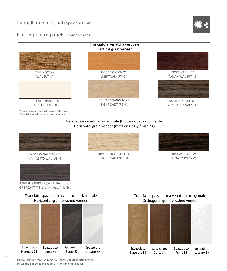### Pannelli impiallacciati Spessore 6mm

#### Flat chipboard panels 6 mm thickness



# Horizontal grain veneer (matt or glossy finishing)



NOCE CANALETTO - T CANALETTO WALNUT - T



ROVERE GRIGIO - Y (solo finituraopaca) GREYOAKTYPE-Y(onlyglossyfinishing)



ROVERE SBIANCATO - R LIGHT OAK TYPE - R



TIPO WENGE' - W WENGE' TYPE - W

#### Tranciato spazzolato a venatura orizzontale Horizontal grain brushed veneer



Tranciato spazzolato a venatura ortogonale Orthogonal grain brushed veneer



Spazzolato Naturale S3

Spazzolato Cotto S4 Fumè S5

Spazzolato Laccato SH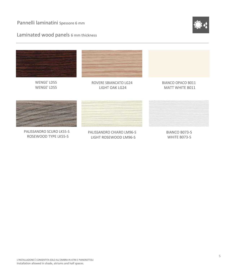Pannelli laminatini Spessore 6 mm

Laminated wood panels 6 mm thickness





WENGE' LD55 WENGE' LD55



ROVERE SBIANCATO LG24 LIGHT OAK LG24

BIANCO OPACO B011 MATT WHITE B011



PALISSANDRO SCURO LK55-S ROSEWOOD TYPE LK55-S



PALISSANDRO CHIARO LM96-S LIGHT ROSEWOOD LM96-S

BIANCO B073-S WHITE B073-S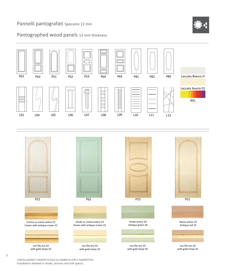### Pannelli pantografati Spessore 12 mm



### Pantographed wood panels 12 mm thickness





L'INSTALLAZIONE È CONSENTITA SOLO ALL'OMBRA IN ATRII E PIANEROTTOLI Installation allowed in shade, atriums and half spaces.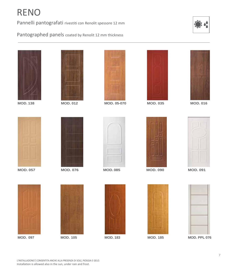# RENO

Pannelli pantografati rivestiti con Renolit spessore 12 mm



Pantographed panels coated by Renolit 12 mm thickness







**MOD. 138 MOD. 012 MOD. 05-070 MOD. 035 MOD. 016**













**MOD. 057 MOD. 076 MOD. 085 MOD. 090 MOD. 091**













**MOD. 097 MOD. 105 MOD. 183 MOD. 185 MOD. PPL 076**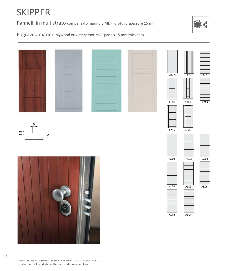# SKIPPER

Pannelli in multistrato compensato marino o MDF idrofugo spessore 15 mm



Engraved marine plywood or waterproof MDF panels 15 mm thickness

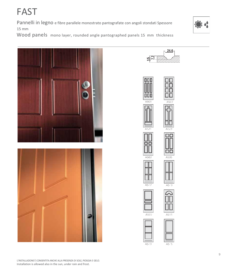FAST

Pannelli in legno e fibre parallele monostrato pantografate con angoli stondati Spessore 15 mm

Wood panels mono layer, rounded angle pantographed panels 15 mm thickness







A507







A503



A505



A517













A511

A513

A5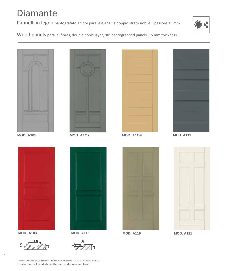# Diamante

Pannelli in legno pantografato a fibre parallele a 90° a doppio strato nobile. Spessore 15 mm



Wood panels parallel fibres, double noble layer, 90° pantographed panels. 15 mm thickness













**MOD. A103 MOD. A115 MOD. A119 MOD. A121**





 $\mathbf{\hat{s}}$ **15**

L'INSTALLAZIONE È CONSENTITA ANCHE ALLA PRESENZA DI SOLE, PIOGGIA E GELO. Installation is allowed also in the sun, under rain and frost.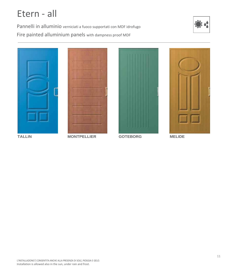# Etern - all

Pannelli in alluminio verniciati a fuoco supportati con MDF idrofugo Fire painted alluminium panels with dampness proof MDF







**MONTPELLIER** 



**GOTEBORG** 



**MELIDE**